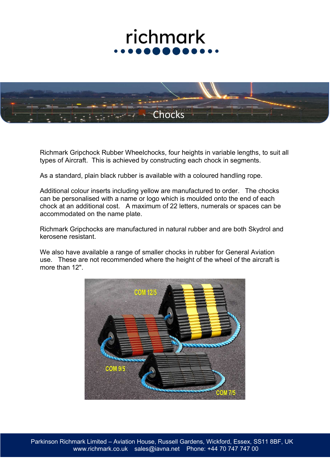## richmark



Richmark Gripchock Rubber Wheelchocks, four heights in variable lengths, to suit all types of Aircraft. This is achieved by constructing each chock in segments.

As a standard, plain black rubber is available with a coloured handling rope.

Additional colour inserts including yellow are manufactured to order. The chocks can be personalised with a name or logo which is moulded onto the end of each chock at an additional cost. A maximum of 22 letters, numerals or spaces can be accommodated on the name plate.

Richmark Gripchocks are manufactured in natural rubber and are both Skydrol and kerosene resistant.

We also have available a range of smaller chocks in rubber for General Aviation use. These are not recommended where the height of the wheel of the aircraft is more than 12".